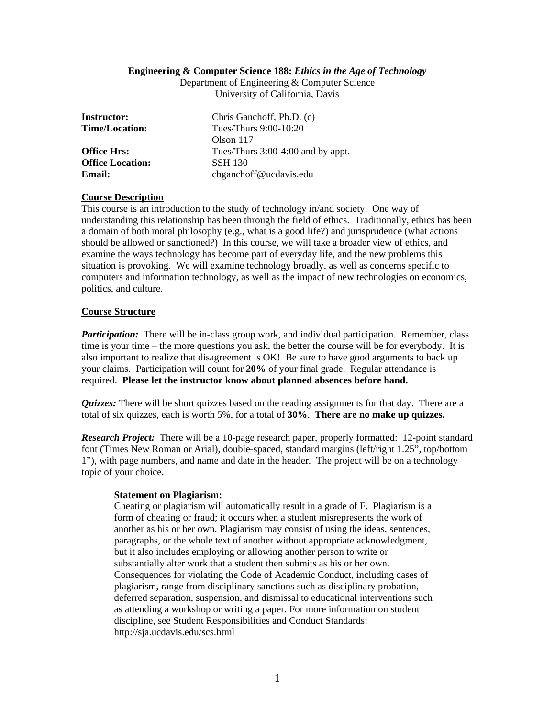## **Engineering & Computer Science 188:** *Ethics in the Age of Technology*

Department of Engineering & Computer Science University of California, Davis

| <b>Instructor:</b>      | Chris Ganchoff, Ph.D. (c)         |
|-------------------------|-----------------------------------|
| Time/Location:          | Tues/Thurs 9:00-10:20             |
|                         | Olson $117$                       |
| <b>Office Hrs:</b>      | Tues/Thurs 3:00-4:00 and by appt. |
| <b>Office Location:</b> | <b>SSH 130</b>                    |
| Email:                  | cbganchoff@ucdavis.edu            |

## **Course Description**

This course is an introduction to the study of technology in/and society. One way of understanding this relationship has been through the field of ethics. Traditionally, ethics has been a domain of both moral philosophy (e.g., what is a good life?) and jurisprudence (what actions should be allowed or sanctioned?) In this course, we will take a broader view of ethics, and examine the ways technology has become part of everyday life, and the new problems this situation is provoking. We will examine technology broadly, as well as concerns specific to computers and information technology, as well as the impact of new technologies on economics, politics, and culture.

# **Course Structure**

*Participation:* There will be in-class group work, and individual participation. Remember, class time is your time – the more questions you ask, the better the course will be for everybody. It is also important to realize that disagreement is OK! Be sure to have good arguments to back up your claims. Participation will count for **20%** of your final grade. Regular attendance is required. **Please let the instructor know about planned absences before hand.**

*Quizzes:* There will be short quizzes based on the reading assignments for that day. There are a total of six quizzes, each is worth 5%, for a total of **30%**. **There are no make up quizzes.**

*Research Project:* There will be a 10-page research paper, properly formatted: 12-point standard font (Times New Roman or Arial), double-spaced, standard margins (left/right 1.25", top/bottom 1"), with page numbers, and name and date in the header. The project will be on a technology topic of your choice.

### **Statement on Plagiarism:**

Cheating or plagiarism will automatically result in a grade of F. Plagiarism is a form of cheating or fraud; it occurs when a student misrepresents the work of another as his or her own. Plagiarism may consist of using the ideas, sentences, paragraphs, or the whole text of another without appropriate acknowledgment, but it also includes employing or allowing another person to write or substantially alter work that a student then submits as his or her own. Consequences for violating the Code of Academic Conduct, including cases of plagiarism, range from disciplinary sanctions such as disciplinary probation, deferred separation, suspension, and dismissal to educational interventions such as attending a workshop or writing a paper. For more information on student discipline, see Student Responsibilities and Conduct Standards: http://sja.ucdavis.edu/scs.html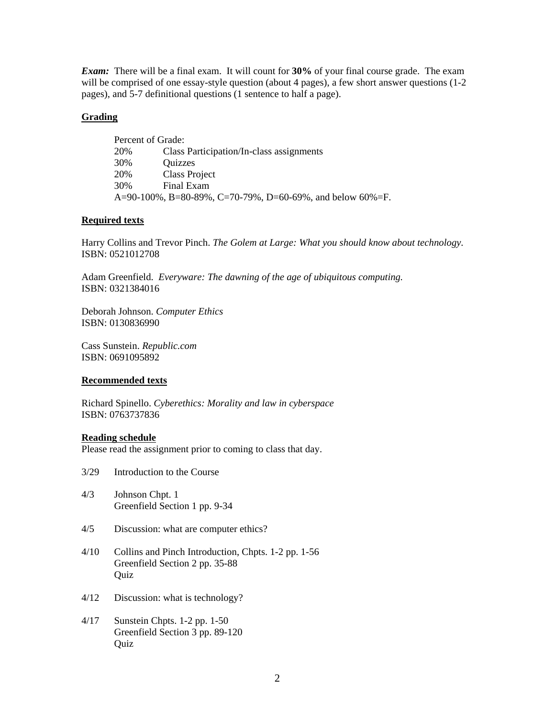*Exam:* There will be a final exam. It will count for **30%** of your final course grade. The exam will be comprised of one essay-style question (about 4 pages), a few short answer questions (1-2 pages), and 5-7 definitional questions (1 sentence to half a page).

# **Grading**

| Percent of Grade: |                                                           |
|-------------------|-----------------------------------------------------------|
| 20%               | Class Participation/In-class assignments                  |
| 30%               | Quizzes                                                   |
| 20%               | Class Project                                             |
| 30%               | Final Exam                                                |
|                   | A=90-100%, B=80-89%, C=70-79%, D=60-69%, and below 60%=F. |

# **Required texts**

Harry Collins and Trevor Pinch. *The Golem at Large: What you should know about technology.*  ISBN: 0521012708

Adam Greenfield. *Everyware: The dawning of the age of ubiquitous computing.* ISBN: 0321384016

Deborah Johnson. *Computer Ethics*  ISBN: 0130836990

Cass Sunstein. *Republic.com*  ISBN: 0691095892

### **Recommended texts**

Richard Spinello. *Cyberethics: Morality and law in cyberspace*  ISBN: 0763737836

## **Reading schedule**

Please read the assignment prior to coming to class that day.

- 3/29 Introduction to the Course
- 4/3 Johnson Chpt. 1 Greenfield Section 1 pp. 9-34
- 4/5 Discussion: what are computer ethics?
- 4/10 Collins and Pinch Introduction, Chpts. 1-2 pp. 1-56 Greenfield Section 2 pp. 35-88 Quiz
- 4/12 Discussion: what is technology?
- 4/17 Sunstein Chpts. 1-2 pp. 1-50 Greenfield Section 3 pp. 89-120 Quiz